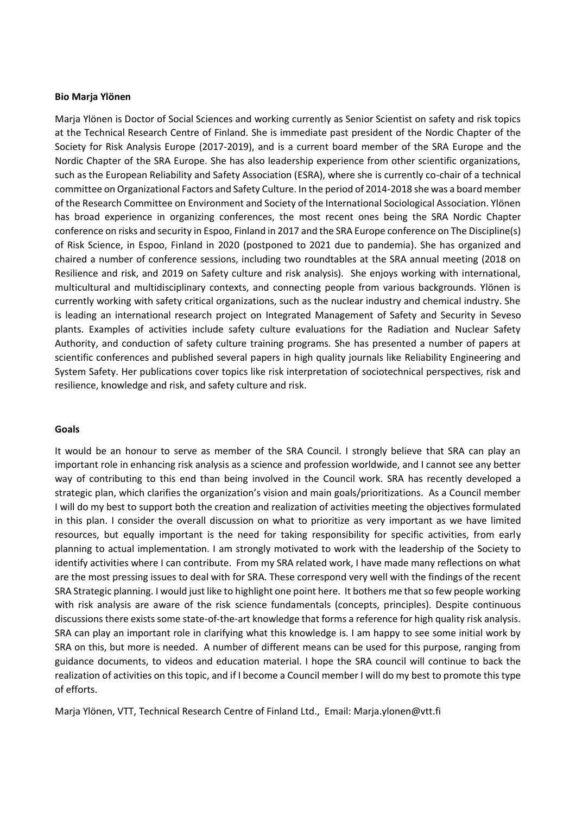## **Bio Marja Ylönen**

Marja Ylönen is Doctor of Social Sciences and working currently as Senior Scientist on safety and risk topics at the Technical Research Centre of Finland. She is immediate past president of the Nordic Chapter of the Society for Risk Analysis Europe (2017-2019), and is a current board member of the SRA Europe and the Nordic Chapter of the SRA Europe. She has also leadership experience from other scientific organizations, such as the European Reliability and Safety Association (ESRA), where she is currently co-chair of a technical committee on Organizational Factors and Safety Culture. In the period of 2014-2018 she was a board member of the Research Committee on Environment and Society of the International Sociological Association. Ylönen has broad experience in organizing conferences, the most recent ones being the SRA Nordic Chapter conference on risks and security in Espoo, Finland in 2017 and the SRA Europe conference on The Discipline(s) of Risk Science, in Espoo, Finland in 2020 (postponed to 2021 due to pandemia). She has organized and chaired a number of conference sessions, including two roundtables at the SRA annual meeting (2018 on Resilience and risk, and 2019 on Safety culture and risk analysis). She enjoys working with international, multicultural and multidisciplinary contexts, and connecting people from various backgrounds. Ylönen is currently working with safety critical organizations, such as the nuclear industry and chemical industry. She is leading an international research project on Integrated Management of Safety and Security in Seveso plants. Examples of activities include safety culture evaluations for the Radiation and Nuclear Safety Authority, and conduction of safety culture training programs. She has presented a number of papers at scientific conferences and published several papers in high quality journals like Reliability Engineering and System Safety. Her publications cover topics like risk interpretation of sociotechnical perspectives, risk and resilience, knowledge and risk, and safety culture and risk.

## **Goals**

It would be an honour to serve as member of the SRA Council. I strongly believe that SRA can play an important role in enhancing risk analysis as a science and profession worldwide, and I cannot see any better way of contributing to this end than being involved in the Council work. SRA has recently developed a strategic plan, which clarifies the organization's vision and main goals/prioritizations. As a Council member I will do my best to support both the creation and realization of activities meeting the objectives formulated in this plan. I consider the overall discussion on what to prioritize as very important as we have limited resources, but equally important is the need for taking responsibility for specific activities, from early planning to actual implementation. I am strongly motivated to work with the leadership of the Society to identify activities where I can contribute. From my SRA related work, I have made many reflections on what are the most pressing issues to deal with for SRA. These correspond very well with the findings of the recent SRA Strategic planning. I would just like to highlight one point here. It bothers me that so few people working with risk analysis are aware of the risk science fundamentals (concepts, principles). Despite continuous discussions there exists some state-of-the-art knowledge that forms a reference for high quality risk analysis. SRA can play an important role in clarifying what this knowledge is. I am happy to see some initial work by SRA on this, but more is needed. A number of different means can be used for this purpose, ranging from guidance documents, to videos and education material. I hope the SRA council will continue to back the realization of activities on this topic, and if I become a Council member I will do my best to promote this type of efforts.

Marja Ylönen, VTT, Technical Research Centre of Finland Ltd., Email: Marja.ylonen@vtt.fi